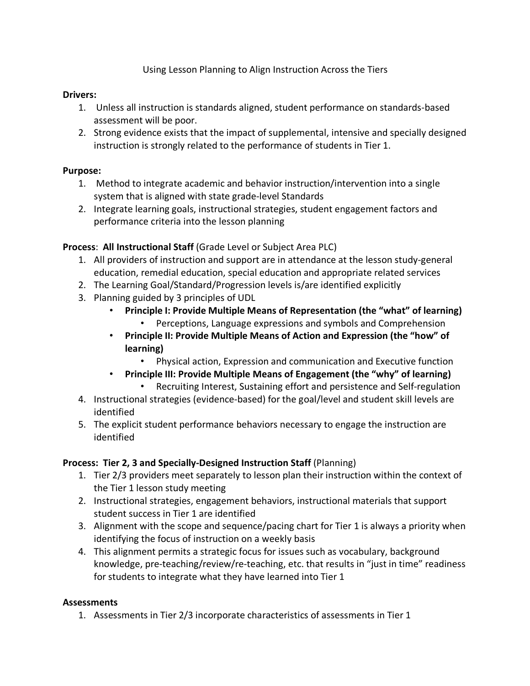Using Lesson Planning to Align Instruction Across the Tiers

# **Drivers:**

- 1. Unless all instruction is standards aligned, student performance on standards-based assessment will be poor.
- 2. Strong evidence exists that the impact of supplemental, intensive and specially designed instruction is strongly related to the performance of students in Tier 1.

# **Purpose:**

- 1. Method to integrate academic and behavior instruction/intervention into a single system that is aligned with state grade-level Standards
- 2. Integrate learning goals, instructional strategies, student engagement factors and performance criteria into the lesson planning

# **Process**: **All Instructional Staff** (Grade Level or Subject Area PLC)

- 1. All providers of instruction and support are in attendance at the lesson study-general education, remedial education, special education and appropriate related services
- 2. The Learning Goal/Standard/Progression levels is/are identified explicitly
- 3. Planning guided by 3 principles of UDL
	- **Principle I: Provide Multiple Means of Representation (the "what" of learning)**
		- Perceptions, Language expressions and symbols and Comprehension
	- **Principle II: Provide Multiple Means of Action and Expression (the "how" of learning)**
		- Physical action, Expression and communication and Executive function
	- **Principle III: Provide Multiple Means of Engagement (the "why" of learning)**
		- Recruiting Interest, Sustaining effort and persistence and Self-regulation
- 4. Instructional strategies (evidence-based) for the goal/level and student skill levels are identified
- 5. The explicit student performance behaviors necessary to engage the instruction are identified

# **Process: Tier 2, 3 and Specially-Designed Instruction Staff** (Planning)

- 1. Tier 2/3 providers meet separately to lesson plan their instruction within the context of the Tier 1 lesson study meeting
- 2. Instructional strategies, engagement behaviors, instructional materials that support student success in Tier 1 are identified
- 3. Alignment with the scope and sequence/pacing chart for Tier 1 is always a priority when identifying the focus of instruction on a weekly basis
- 4. This alignment permits a strategic focus for issues such as vocabulary, background knowledge, pre-teaching/review/re-teaching, etc. that results in "just in time" readiness for students to integrate what they have learned into Tier 1

### **Assessments**

1. Assessments in Tier 2/3 incorporate characteristics of assessments in Tier 1